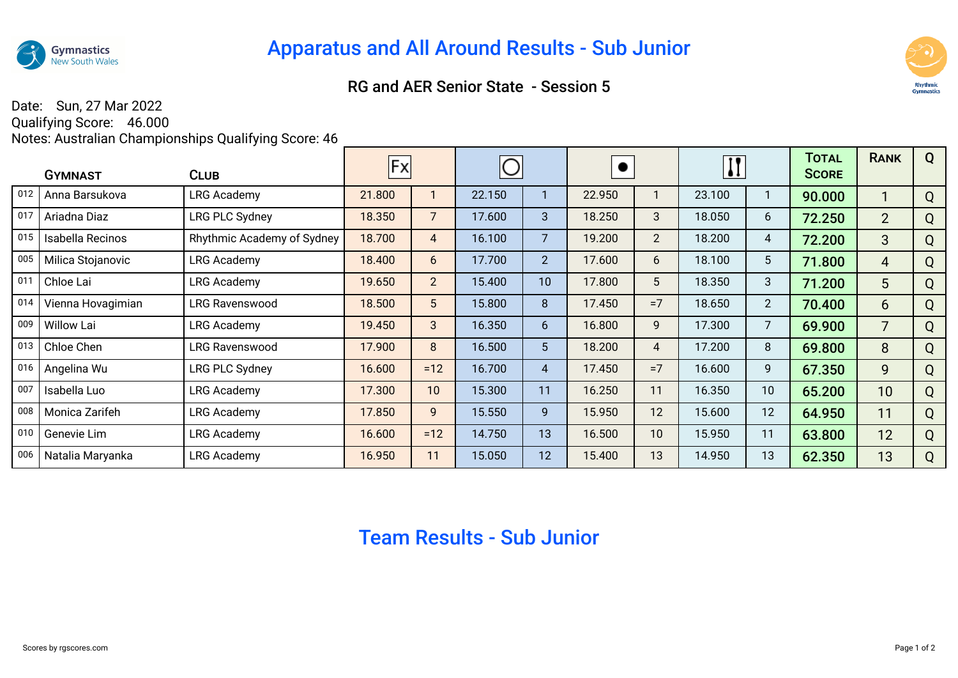

## RG and AER Senior State - Session 5



## Date: Sun, 27 Mar 2022

Qualifying Score: 46.000 Notes: Australian Championships Qualifying Score: 46

|               | <b>CLUB</b><br><b>GYMNAST</b> |                            | Fx     |                |        |                |        |                | $\mathbf{II}$ |                 | TOTAL<br><b>SCORE</b> | <b>RANK</b>    | Q |
|---------------|-------------------------------|----------------------------|--------|----------------|--------|----------------|--------|----------------|---------------|-----------------|-----------------------|----------------|---|
| $ 012\rangle$ | Anna Barsukova                | LRG Academy                | 21.800 |                | 22.150 |                | 22.950 |                | 23.100        |                 | 90.000                | 1              | Q |
| 017           | Ariadna Diaz                  | <b>LRG PLC Sydney</b>      | 18.350 | $\overline{7}$ | 17.600 | 3              | 18.250 | 3              | 18.050        | 6               | 72.250                | $2^{\circ}$    | Q |
| $ 015\rangle$ | Isabella Recinos              | Rhythmic Academy of Sydney | 18.700 | $\overline{4}$ | 16.100 | $\overline{7}$ | 19.200 | $\overline{2}$ | 18.200        | 4               | 72.200                | 3              | Q |
| 005           | Milica Stojanovic             | <b>LRG Academy</b>         | 18.400 | 6              | 17.700 | $\overline{2}$ | 17.600 | 6              | 18.100        | $5\phantom{.0}$ | 71.800                | 4              | Q |
| 011           | Chloe Lai                     | LRG Academy                | 19.650 | 2 <sup>2</sup> | 15.400 | 10             | 17.800 | 5              | 18.350        | 3               | 71.200                | 5              | Q |
| $ 014\rangle$ | Vienna Hovagimian             | <b>LRG Ravenswood</b>      | 18.500 | 5 <sup>5</sup> | 15.800 | 8              | 17.450 | $=7$           | 18.650        | $\overline{2}$  | 70.400                | 6              | Q |
| 009           | Willow Lai                    | <b>LRG Academy</b>         | 19.450 | 3 <sup>2</sup> | 16.350 | 6              | 16.800 | 9              | 17.300        | $\overline{7}$  | 69.900                | $\overline{7}$ | Q |
| 013           | Chloe Chen                    | <b>LRG Ravenswood</b>      | 17.900 | 8              | 16.500 | 5 <sup>5</sup> | 18.200 | 4              | 17.200        | 8               | 69.800                | 8              | Q |
| 016           | Angelina Wu                   | LRG PLC Sydney             | 16.600 | $=12$          | 16.700 | $\overline{4}$ | 17.450 | $=7$           | 16.600        | 9               | 67.350                | 9              | Q |
| 007           | Isabella Luo                  | LRG Academy                | 17.300 | 10             | 15.300 | 11             | 16.250 | 11             | 16.350        | 10              | 65.200                | 10             | Q |
| 008           | Monica Zarifeh                | <b>LRG Academy</b>         | 17.850 | 9              | 15.550 | 9              | 15.950 | 12             | 15.600        | 12              | 64.950                | 11             | Q |
| $ 010\rangle$ | Genevie Lim                   | <b>LRG Academy</b>         | 16.600 | $=12$          | 14.750 | 13             | 16.500 | 10             | 15.950        | 11              | 63.800                | 12             | Q |
| 006           | Natalia Maryanka              | <b>LRG Academy</b>         | 16.950 | 11             | 15.050 | 12             | 15.400 | 13             | 14.950        | 13              | 62.350                | 13             | Q |

## Team Results - Sub Junior